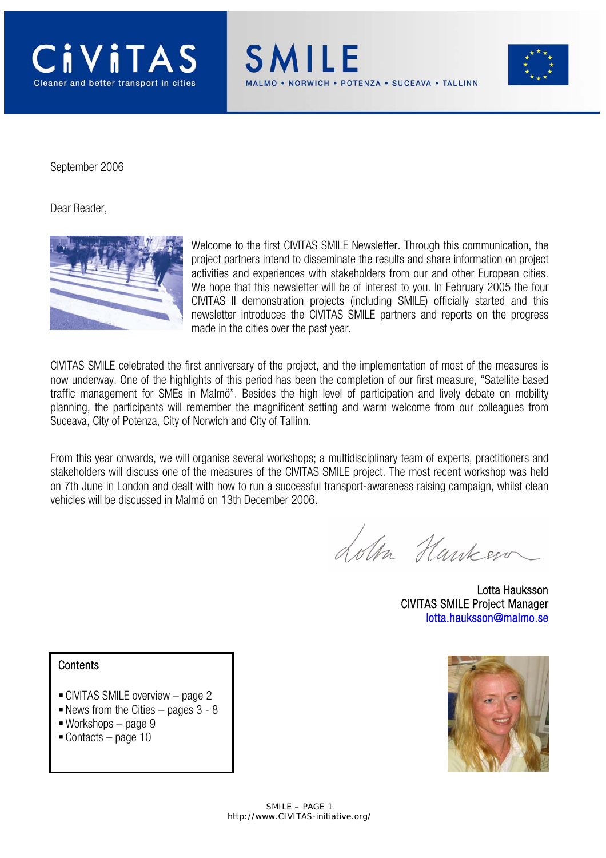





September 2006

Dear Reader,



Welcome to the first CIVITAS SMILE Newsletter. Through this communication, the project partners intend to disseminate the results and share information on project activities and experiences with stakeholders from our and other European cities. We hope that this newsletter will be of interest to you. In February 2005 the four CIVITAS II demonstration projects (including SMILE) officially started and this newsletter introduces the CIVITAS SMILE partners and reports on the progress made in the cities over the past year.

CIVITAS SMILE celebrated the first anniversary of the project, and the implementation of most of the measures is now underway. One of the highlights of this period has been the completion of our first measure, "Satellite based traffic management for SMEs in Malmö". Besides the high level of participation and lively debate on mobility planning, the participants will remember the magnificent setting and warm welcome from our colleagues from Suceava, City of Potenza, City of Norwich and City of Tallinn.

From this year onwards, we will organise several workshops; a multidisciplinary team of experts, practitioners and stakeholders will discuss one of the measures of the CIVITAS SMILE project. The most recent workshop was held on 7th June in London and dealt with how to run a successful transport-awareness raising campaign, whilst clean vehicles will be discussed in Malmö on 13th December 2006.

Lotta Hankers

 Lotta Hauksson CIVITAS SMILE Project Manager lotta.hauksson@malmo.se

#### **Contents**

- CIVITAS SMILE overview page 2
- $\blacksquare$  News from the Cities pages 3 8
- Workshops page 9
- $\blacksquare$  Contacts page 10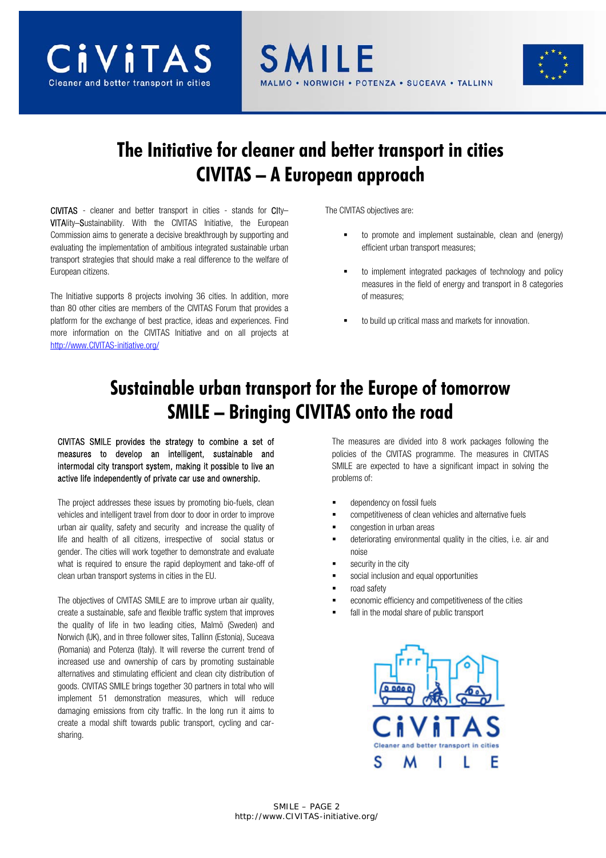





# **The Initiative for cleaner and better transport in cities CIVITAS – A European approach**

CIVITAS - cleaner and better transport in cities - stands for CIty– VITAlity–Sustainability. With the CIVITAS Initiative, the European Commission aims to generate a decisive breakthrough by supporting and evaluating the implementation of ambitious integrated sustainable urban transport strategies that should make a real difference to the welfare of European citizens.

The Initiative supports 8 projects involving 36 cities. In addition, more than 80 other cities are members of the CIVITAS Forum that provides a platform for the exchange of best practice, ideas and experiences. Find more information on the CIVITAS Initiative and on all projects at http://www.CIVITAS-initiative.org/

The CIVITAS objectives are:

- to promote and implement sustainable, clean and (energy) efficient urban transport measures;
- to implement integrated packages of technology and policy measures in the field of energy and transport in 8 categories of measures;
- to build up critical mass and markets for innovation.

# **Sustainable urban transport for the Europe of tomorrow SMILE – Bringing CIVITAS onto the road**

CIVITAS SMILE provides the strategy to combine a set of measures to develop an intelligent, sustainable and intermodal city transport system, making it possible to live an active life independently of private car use and ownership.

The project addresses these issues by promoting bio-fuels, clean vehicles and intelligent travel from door to door in order to improve urban air quality, safety and security and increase the quality of life and health of all citizens, irrespective of social status or gender. The cities will work together to demonstrate and evaluate what is required to ensure the rapid deployment and take-off of clean urban transport systems in cities in the EU.

The objectives of CIVITAS SMILE are to improve urban air quality, create a sustainable, safe and flexible traffic system that improves the quality of life in two leading cities, Malmö (Sweden) and Norwich (UK), and in three follower sites, Tallinn (Estonia), Suceava (Romania) and Potenza (Italy). It will reverse the current trend of increased use and ownership of cars by promoting sustainable alternatives and stimulating efficient and clean city distribution of goods. CIVITAS SMILE brings together 30 partners in total who will implement 51 demonstration measures, which will reduce damaging emissions from city traffic. In the long run it aims to create a modal shift towards public transport, cycling and carsharing.

The measures are divided into 8 work packages following the policies of the CIVITAS programme. The measures in CIVITAS SMILE are expected to have a significant impact in solving the problems of:

- dependency on fossil fuels
- competitiveness of clean vehicles and alternative fuels
- congestion in urban areas
- deteriorating environmental quality in the cities, i.e. air and noise
- security in the city
- social inclusion and equal opportunities
- road safety
- economic efficiency and competitiveness of the cities
- fall in the modal share of public transport

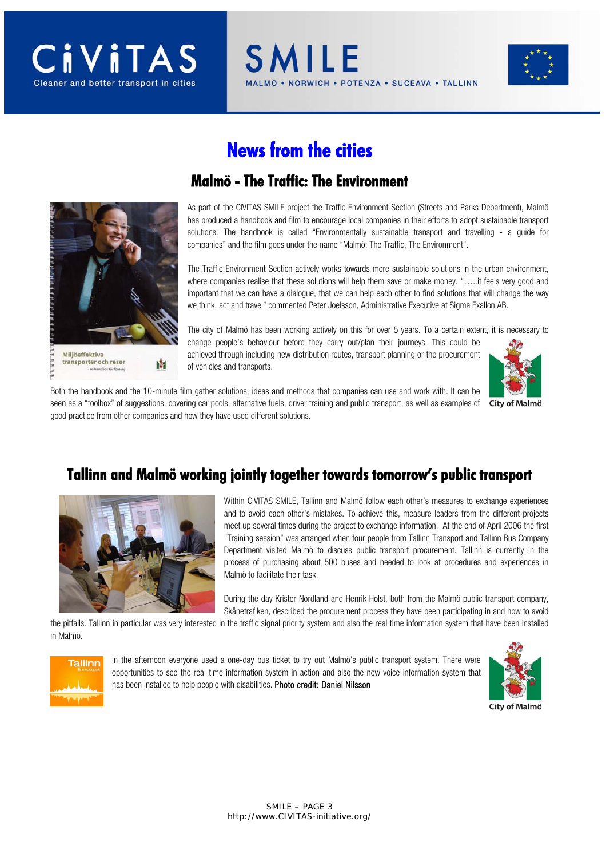



# **News from the cities**

SMILE



#### **Malmö - The Traffic: The Environment**

As part of the CIVITAS SMILE project the Traffic Environment Section (Streets and Parks Department), Malmö has produced a handbook and film to encourage local companies in their efforts to adopt sustainable transport solutions. The handbook is called "Environmentally sustainable transport and travelling - a guide for companies" and the film goes under the name "Malmö: The Traffic, The Environment".

**VORWICH • POTENZA • SUCEAVA • TALLINN** 

The Traffic Environment Section actively works towards more sustainable solutions in the urban environment, where companies realise that these solutions will help them save or make money. ".....it feels very good and important that we can have a dialogue, that we can help each other to find solutions that will change the way we think, act and travel" commented Peter Joelsson, Administrative Executive at Sigma Exallon AB.

The city of Malmö has been working actively on this for over 5 years. To a certain extent, it is necessary to change people's behaviour before they carry out/plan their journeys. This could be achieved through including new distribution routes, transport planning or the procurement of vehicles and transports.



Both the handbook and the 10-minute film gather solutions, ideas and methods that companies can use and work with. It can be seen as a "toolbox" of suggestions, covering car pools, alternative fuels, driver training and public transport, as well as examples of City of Malmö good practice from other companies and how they have used different solutions.

#### **Tallinn and Malmö working jointly together towards tomorrow's public transport**



Within CIVITAS SMILE, Tallinn and Malmö follow each other's measures to exchange experiences and to avoid each other's mistakes. To achieve this, measure leaders from the different projects meet up several times during the project to exchange information. At the end of April 2006 the first "Training session" was arranged when four people from Tallinn Transport and Tallinn Bus Company Department visited Malmö to discuss public transport procurement. Tallinn is currently in the process of purchasing about 500 buses and needed to look at procedures and experiences in Malmö to facilitate their task.

During the day Krister Nordland and Henrik Holst, both from the Malmö public transport company, Skånetrafiken, described the procurement process they have been participating in and how to avoid

the pitfalls. Tallinn in particular was very interested in the traffic signal priority system and also the real time information system that have been installed in Malmö.



In the afternoon everyone used a one-day bus ticket to try out Malmö's public transport system. There were opportunities to see the real time information system in action and also the new voice information system that has been installed to help people with disabilities. Photo credit: Daniel Nilsson

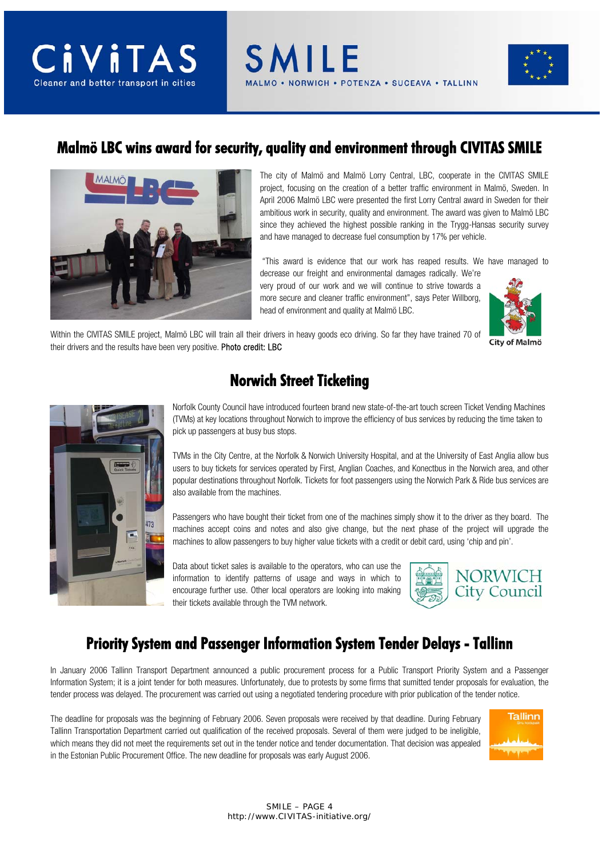# **CiviTA** Cleaner and better transport in cities



#### **Malmö LBC wins award for security, quality and environment through CIVITAS SMILE**



The city of Malmö and Malmö Lorry Central, LBC, cooperate in the CIVITAS SMILE project, focusing on the creation of a better traffic environment in Malmö, Sweden. In April 2006 Malmö LBC were presented the first Lorry Central award in Sweden for their ambitious work in security, quality and environment. The award was given to Malmö LBC since they achieved the highest possible ranking in the Trygg-Hansas security survey and have managed to decrease fuel consumption by 17% per vehicle.

"This award is evidence that our work has reaped results. We have managed to

decrease our freight and environmental damages radically. We're very proud of our work and we will continue to strive towards a more secure and cleaner traffic environment", says Peter Willborg, head of environment and quality at Malmö LBC.



Within the CIVITAS SMILE project, Malmö LBC will train all their drivers in heavy goods eco driving. So far they have trained 70 of their drivers and the results have been very positive. Photo credit: LBC



## **Norwich Street Ticketing**

Norfolk County Council have introduced fourteen brand new state-of-the-art touch screen Ticket Vending Machines (TVMs) at key locations throughout Norwich to improve the efficiency of bus services by reducing the time taken to pick up passengers at busy bus stops.

TVMs in the City Centre, at the Norfolk & Norwich University Hospital, and at the University of East Anglia allow bus users to buy tickets for services operated by First, Anglian Coaches, and Konectbus in the Norwich area, and other popular destinations throughout Norfolk. Tickets for foot passengers using the Norwich Park & Ride bus services are also available from the machines.

Passengers who have bought their ticket from one of the machines simply show it to the driver as they board. The machines accept coins and notes and also give change, but the next phase of the project will upgrade the machines to allow passengers to buy higher value tickets with a credit or debit card, using 'chip and pin'.

Data about ticket sales is available to the operators, who can use the information to identify patterns of usage and ways in which to encourage further use. Other local operators are looking into making their tickets available through the TVM network.



### **Priority System and Passenger Information System Tender Delays - Tallinn**

In January 2006 Tallinn Transport Department announced a public procurement process for a Public Transport Priority System and a Passenger Information System; it is a joint tender for both measures. Unfortunately, due to protests by some firms that sumitted tender proposals for evaluation, the tender process was delayed. The procurement was carried out using a negotiated tendering procedure with prior publication of the tender notice.

The deadline for proposals was the beginning of February 2006. Seven proposals were received by that deadline. During February Tallinn Transportation Department carried out qualification of the received proposals. Several of them were judged to be ineligible, which means they did not meet the requirements set out in the tender notice and tender documentation. That decision was appealed in the Estonian Public Procurement Office. The new deadline for proposals was early August 2006.

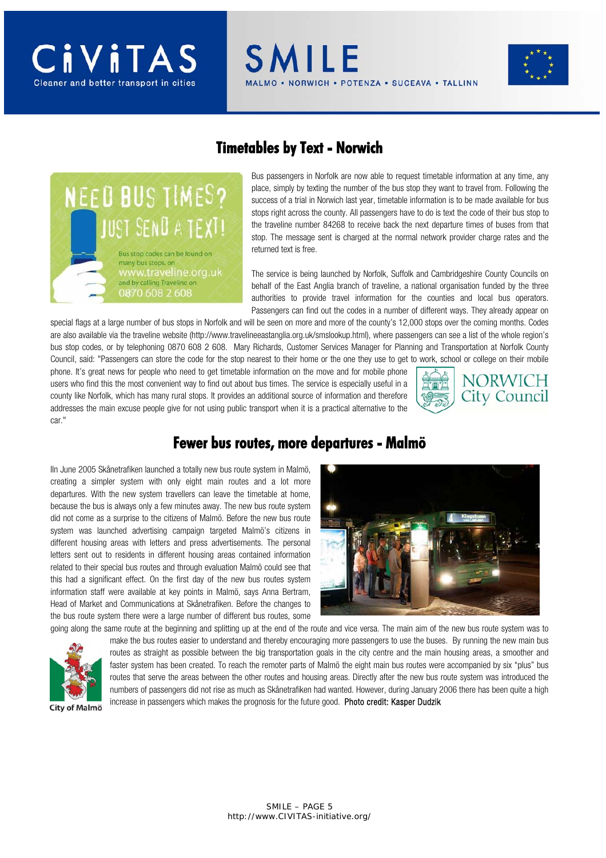#### **Timetables by Text - Norwich**

**SMILE** 

**NEED BUS TIMES?** IUST SENŪ A TEXT! Bus stop codes can be found on many bus stops, on w.traveline.org.uk and by calling Traveline on 0870 608 2 608

Bus passengers in Norfolk are now able to request timetable information at any time, any place, simply by texting the number of the bus stop they want to travel from. Following the success of a trial in Norwich last year, timetable information is to be made available for bus stops right across the county. All passengers have to do is text the code of their bus stop to the traveline number 84268 to receive back the next departure times of buses from that stop. The message sent is charged at the normal network provider charge rates and the returned text is free.

**IORWICH • POTENZA • SUCEAVA • TALLINN** 

The service is being launched by Norfolk, Suffolk and Cambridgeshire County Councils on behalf of the East Anglia branch of traveline, a national organisation funded by the three authorities to provide travel information for the counties and local bus operators. Passengers can find out the codes in a number of different ways. They already appear on

special flags at a large number of bus stops in Norfolk and will be seen on more and more of the county's 12,000 stops over the coming months. Codes are also available via the traveline website (http://www.travelineeastanglia.org.uk/smslookup.html), where passengers can see a list of the whole region's bus stop codes, or by telephoning 0870 608 2 608. Mary Richards, Customer Services Manager for Planning and Transportation at Norfolk County Council, said: "Passengers can store the code for the stop nearest to their home or the one they use to get to work, school or college on their mobile

phone. It's great news for people who need to get timetable information on the move and for mobile phone users who find this the most convenient way to find out about bus times. The service is especially useful in a county like Norfolk, which has many rural stops. It provides an additional source of information and therefore addresses the main excuse people give for not using public transport when it is a practical alternative to the car."



#### **Fewer bus routes, more departures - Malmö**

IIn June 2005 Skånetrafiken launched a totally new bus route system in Malmö, creating a simpler system with only eight main routes and a lot more departures. With the new system travellers can leave the timetable at home, because the bus is always only a few minutes away. The new bus route system did not come as a surprise to the citizens of Malmö. Before the new bus route system was launched advertising campaign targeted Malmö's citizens in different housing areas with letters and press advertisements. The personal letters sent out to residents in different housing areas contained information related to their special bus routes and through evaluation Malmö could see that this had a significant effect. On the first day of the new bus routes system information staff were available at key points in Malmö, says Anna Bertram, Head of Market and Communications at Skånetrafiken. Before the changes to the bus route system there were a large number of different bus routes, some





going along the same route at the beginning and splitting up at the end of the route and vice versa. The main aim of the new bus route system was to make the bus routes easier to understand and thereby encouraging more passengers to use the buses. By running the new main bus routes as straight as possible between the big transportation goals in the city centre and the main housing areas, a smoother and faster system has been created. To reach the remoter parts of Malmö the eight main bus routes were accompanied by six "plus" bus routes that serve the areas between the other routes and housing areas. Directly after the new bus route system was introduced the numbers of passengers did not rise as much as Skånetrafiken had wanted. However, during January 2006 there has been quite a high increase in passengers which makes the prognosis for the future good. Photo credit: Kasper Dudzik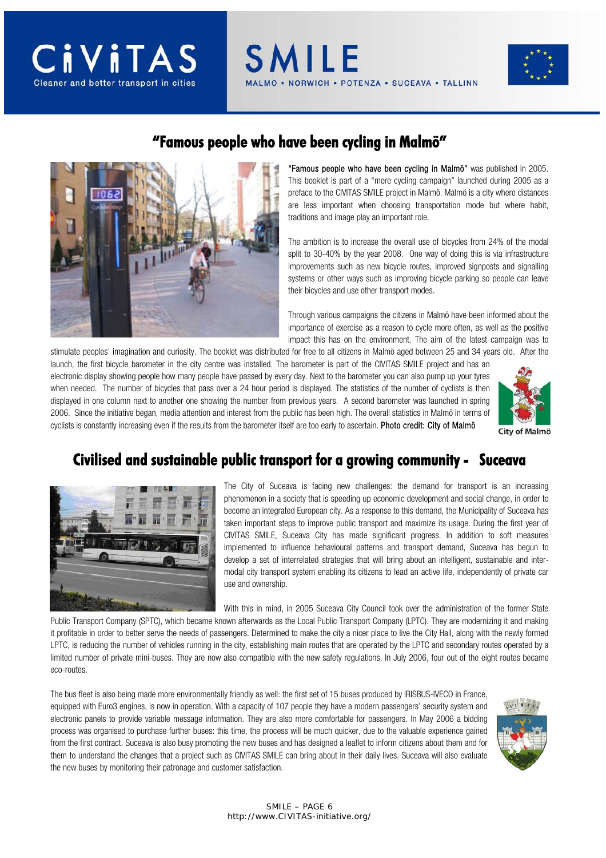



### **"Famous people who have been cycling in Malmö"**

**SMILE** 



"Famous people who have been cycling in Malmö" was published in 2005. This booklet is part of a "more cycling campaign" launched during 2005 as a preface to the CIVITAS SMILE project in Malmö. Malmö is a city where distances are less important when choosing transportation mode but where habit, traditions and image play an important role.

ORWICH . POTENZA . SUCEAVA . TALLINN

The ambition is to increase the overall use of bicycles from 24% of the modal split to 30-40% by the year 2008. One way of doing this is via infrastructure improvements such as new bicycle routes, improved signposts and signalling systems or other ways such as improving bicycle parking so people can leave their bicycles and use other transport modes.

Through various campaigns the citizens in Malmö have been informed about the importance of exercise as a reason to cycle more often, as well as the positive impact this has on the environment. The aim of the latest campaign was to

stimulate peoples' imagination and curiosity. The booklet was distributed for free to all citizens in Malmö aged between 25 and 34 years old. After the launch, the first bicycle barometer in the city centre was installed. The barometer is part of the CIVITAS SMILE project and has an electronic display showing people how many people have passed by every day. Next to the barometer you can also pump up your tyres when needed. The number of bicycles that pass over a 24 hour period is displayed. The statistics of the number of cyclists is then displayed in one column next to another one showing the number from previous years. A second barometer was launched in spring 2006. Since the initiative began, media attention and interest from the public has been high. The overall statistics in Malmö in terms of cyclists is constantly increasing even if the results from the barometer itself are too early to ascertain. Photo credit: City of Malmö



### **Civilised and sustainable public transport for a growing community - Suceava**



The City of Suceava is facing new challenges: the demand for transport is an increasing phenomenon in a society that is speeding up economic development and social change, in order to become an integrated European city. As a response to this demand, the Municipality of Suceava has taken important steps to improve public transport and maximize its usage. During the first year of CIVITAS SMILE, Suceava City has made significant progress. In addition to soft measures implemented to influence behavioural patterns and transport demand, Suceava has begun to develop a set of interrelated strategies that will bring about an intelligent, sustainable and intermodal city transport system enabling its citizens to lead an active life, independently of private car use and ownership.

With this in mind, in 2005 Suceava City Council took over the administration of the former State

Public Transport Company (SPTC), which became known afterwards as the Local Public Transport Company (LPTC). They are modernizing it and making it profitable in order to better serve the needs of passengers. Determined to make the city a nicer place to live the City Hall, along with the newly formed LPTC, is reducing the number of vehicles running in the city, establishing main routes that are operated by the LPTC and secondary routes operated by a limited number of private mini-buses. They are now also compatible with the new safety regulations. In July 2006, four out of the eight routes became eco-routes.

The bus fleet is also being made more environmentally friendly as well: the first set of 15 buses produced by IRISBUS-IVECO in France, equipped with Euro3 engines, is now in operation. With a capacity of 107 people they have a modern passengers' security system and electronic panels to provide variable message information. They are also more comfortable for passengers. In May 2006 a bidding process was organised to purchase further buses: this time, the process will be much quicker, due to the valuable experience gained from the first contract. Suceava is also busy promoting the new buses and has designed a leaflet to inform citizens about them and for them to understand the changes that a project such as CIVITAS SMILE can bring about in their daily lives. Suceava will also evaluate the new buses by monitoring their patronage and customer satisfaction.

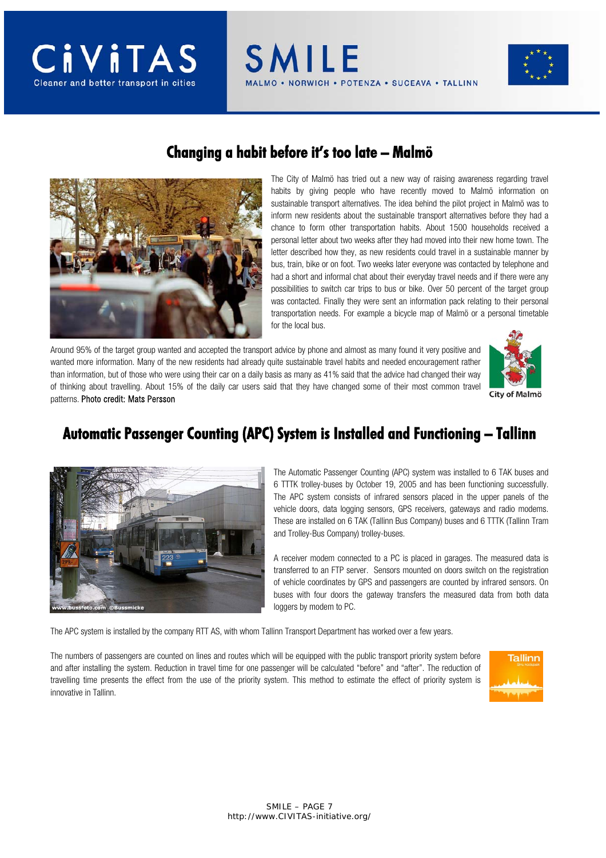



#### **Changing a habit before it's too late – Malmö**

SMILE

The City of Malmö has tried out a new way of raising awareness regarding travel habits by giving people who have recently moved to Malmö information on sustainable transport alternatives. The idea behind the pilot project in Malmö was to inform new residents about the sustainable transport alternatives before they had a chance to form other transportation habits. About 1500 households received a personal letter about two weeks after they had moved into their new home town. The letter described how they, as new residents could travel in a sustainable manner by bus, train, bike or on foot. Two weeks later everyone was contacted by telephone and had a short and informal chat about their everyday travel needs and if there were any possibilities to switch car trips to bus or bike. Over 50 percent of the target group was contacted. Finally they were sent an information pack relating to their personal transportation needs. For example a bicycle map of Malmö or a personal timetable for the local bus.

**VORWICH • POTENZA • SUCEAVA • TALLINN** 

Around 95% of the target group wanted and accepted the transport advice by phone and almost as many found it very positive and wanted more information. Many of the new residents had already quite sustainable travel habits and needed encouragement rather than information, but of those who were using their car on a daily basis as many as 41% said that the advice had changed their way of thinking about travelling. About 15% of the daily car users said that they have changed some of their most common travel patterns. Photo credit: Mats Persson



City of Malmö

### **Automatic Passenger Counting (APC) System is Installed and Functioning – Tallinn**



The Automatic Passenger Counting (APC) system was installed to 6 TAK buses and 6 TTTK trolley-buses by October 19, 2005 and has been functioning successfully. The APC system consists of infrared sensors placed in the upper panels of the vehicle doors, data logging sensors, GPS receivers, gateways and radio modems. These are installed on 6 TAK (Tallinn Bus Company) buses and 6 TTTK (Tallinn Tram and Trolley-Bus Company) trolley-buses.

A receiver modem connected to a PC is placed in garages. The measured data is transferred to an FTP server. Sensors mounted on doors switch on the registration of vehicle coordinates by GPS and passengers are counted by infrared sensors. On buses with four doors the gateway transfers the measured data from both data loggers by modem to PC.

The APC system is installed by the company RTT AS, with whom Tallinn Transport Department has worked over a few years.

The numbers of passengers are counted on lines and routes which will be equipped with the public transport priority system before and after installing the system. Reduction in travel time for one passenger will be calculated "before" and "after". The reduction of travelling time presents the effect from the use of the priority system. This method to estimate the effect of priority system is innovative in Tallinn.

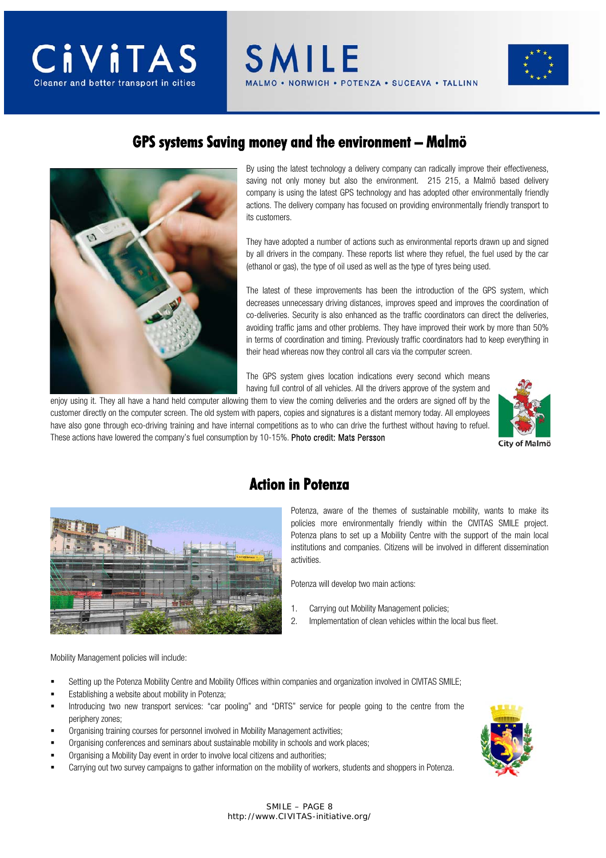

**SMILE** ORWICH . POTENZA . SUCEAVA . TALLINN



#### **GPS systems Saving money and the environment – Malmö**



By using the latest technology a delivery company can radically improve their effectiveness, saving not only money but also the environment. 215 215, a Malmö based delivery company is using the latest GPS technology and has adopted other environmentally friendly actions. The delivery company has focused on providing environmentally friendly transport to its customers.

They have adopted a number of actions such as environmental reports drawn up and signed by all drivers in the company. These reports list where they refuel, the fuel used by the car (ethanol or gas), the type of oil used as well as the type of tyres being used.

The latest of these improvements has been the introduction of the GPS system, which decreases unnecessary driving distances, improves speed and improves the coordination of co-deliveries. Security is also enhanced as the traffic coordinators can direct the deliveries, avoiding traffic jams and other problems. They have improved their work by more than 50% in terms of coordination and timing. Previously traffic coordinators had to keep everything in their head whereas now they control all cars via the computer screen.

The GPS system gives location indications every second which means having full control of all vehicles. All the drivers approve of the system and

enjoy using it. They all have a hand held computer allowing them to view the coming deliveries and the orders are signed off by the customer directly on the computer screen. The old system with papers, copies and signatures is a distant memory today. All employees have also gone through eco-driving training and have internal competitions as to who can drive the furthest without having to refuel. These actions have lowered the company's fuel consumption by 10-15%. Photo credit: Mats Persson 





### **Action in Potenza**

Potenza, aware of the themes of sustainable mobility, wants to make its policies more environmentally friendly within the CIVITAS SMILE project. Potenza plans to set up a Mobility Centre with the support of the main local institutions and companies. Citizens will be involved in different dissemination activities.

Potenza will develop two main actions:

- 1. Carrying out Mobility Management policies;
- 2. Implementation of clean vehicles within the local bus fleet.

Mobility Management policies will include:

- Setting up the Potenza Mobility Centre and Mobility Offices within companies and organization involved in CIVITAS SMILE;
- Establishing a website about mobility in Potenza;
- Introducing two new transport services: "car pooling" and "DRTS" service for people going to the centre from the periphery zones;
- Organising training courses for personnel involved in Mobility Management activities;
- Organising conferences and seminars about sustainable mobility in schools and work places;
- Organising a Mobility Day event in order to involve local citizens and authorities;
- Carrying out two survey campaigns to gather information on the mobility of workers, students and shoppers in Potenza.

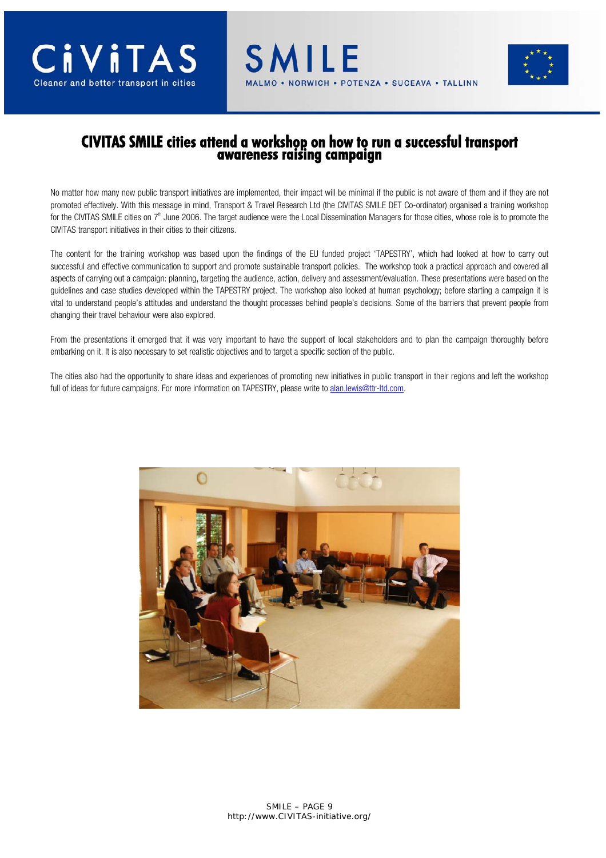

# **CIVITAS SMILE cities attend a workshop on how to run a successful transport awareness raising campaign**

No matter how many new public transport initiatives are implemented, their impact will be minimal if the public is not aware of them and if they are not promoted effectively. With this message in mind, Transport & Travel Research Ltd (the CIVITAS SMILE DET Co-ordinator) organised a training workshop for the CIVITAS SMILE cities on  $7<sup>th</sup>$  June 2006. The target audience were the Local Dissemination Managers for those cities, whose role is to promote the CIVITAS transport initiatives in their cities to their citizens.

The content for the training workshop was based upon the findings of the EU funded project 'TAPESTRY', which had looked at how to carry out successful and effective communication to support and promote sustainable transport policies. The workshop took a practical approach and covered all aspects of carrying out a campaign: planning, targeting the audience, action, delivery and assessment/evaluation. These presentations were based on the guidelines and case studies developed within the TAPESTRY project. The workshop also looked at human psychology; before starting a campaign it is vital to understand people's attitudes and understand the thought processes behind people's decisions. Some of the barriers that prevent people from changing their travel behaviour were also explored.

From the presentations it emerged that it was very important to have the support of local stakeholders and to plan the campaign thoroughly before embarking on it. It is also necessary to set realistic objectives and to target a specific section of the public.

The cities also had the opportunity to share ideas and experiences of promoting new initiatives in public transport in their regions and left the workshop full of ideas for future campaigns. For more information on TAPESTRY, please write to alan.lewis@ttr-ltd.com.